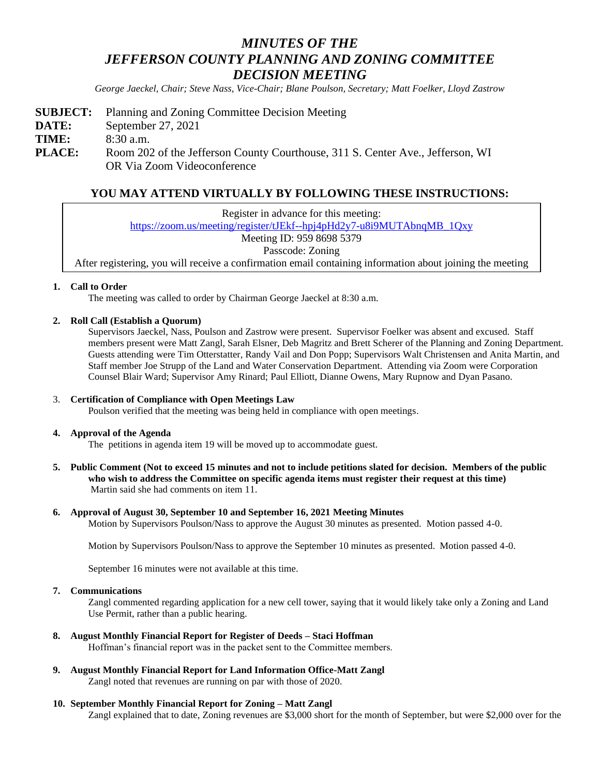# *MINUTES OF THE JEFFERSON COUNTY PLANNING AND ZONING COMMITTEE DECISION MEETING*

*George Jaeckel, Chair; Steve Nass, Vice-Chair; Blane Poulson, Secretary; Matt Foelker, Lloyd Zastrow*

**SUBJECT:** Planning and Zoning Committee Decision Meeting **DATE:** September 27, 2021 **TIME:** 8:30 a.m. **PLACE:** Room 202 of the Jefferson County Courthouse, 311 S. Center Ave., Jefferson, WI OR Via Zoom Videoconference

# **YOU MAY ATTEND VIRTUALLY BY FOLLOWING THESE INSTRUCTIONS:**

Register in advance for this meeting:

[https://zoom.us/meeting/register/tJEkf--hpj4pHd2y7-u8i9MUTAbnqMB\\_1Qxy](https://zoom.us/meeting/register/tJEkf--hpj4pHd2y7-u8i9MUTAbnqMB_1Qxy)

Meeting ID: 959 8698 5379

Passcode: Zoning

After registering, you will receive a confirmation email containing information about joining the meeting

#### **1. Call to Order**

The meeting was called to order by Chairman George Jaeckel at 8:30 a.m.

#### **2. Roll Call (Establish a Quorum)**

Supervisors Jaeckel, Nass, Poulson and Zastrow were present. Supervisor Foelker was absent and excused. Staff members present were Matt Zangl, Sarah Elsner, Deb Magritz and Brett Scherer of the Planning and Zoning Department. Guests attending were Tim Otterstatter, Randy Vail and Don Popp; Supervisors Walt Christensen and Anita Martin, and Staff member Joe Strupp of the Land and Water Conservation Department. Attending via Zoom were Corporation Counsel Blair Ward; Supervisor Amy Rinard; Paul Elliott, Dianne Owens, Mary Rupnow and Dyan Pasano.

#### 3. **Certification of Compliance with Open Meetings Law**

Poulson verified that the meeting was being held in compliance with open meetings.

#### **4. Approval of the Agenda**

The petitions in agenda item 19 will be moved up to accommodate guest.

**5. Public Comment (Not to exceed 15 minutes and not to include petitions slated for decision. Members of the public who wish to address the Committee on specific agenda items must register their request at this time)** Martin said she had comments on item 11.

#### **6. Approval of August 30, September 10 and September 16, 2021 Meeting Minutes**

Motion by Supervisors Poulson/Nass to approve the August 30 minutes as presented. Motion passed 4-0.

Motion by Supervisors Poulson/Nass to approve the September 10 minutes as presented. Motion passed 4-0.

September 16 minutes were not available at this time.

#### **7. Communications**

Zangl commented regarding application for a new cell tower, saying that it would likely take only a Zoning and Land Use Permit, rather than a public hearing.

- **8. August Monthly Financial Report for Register of Deeds – Staci Hoffman** Hoffman's financial report was in the packet sent to the Committee members.
- **9. August Monthly Financial Report for Land Information Office-Matt Zangl**  Zangl noted that revenues are running on par with those of 2020.

#### **10. September Monthly Financial Report for Zoning – Matt Zangl**

Zangl explained that to date, Zoning revenues are \$3,000 short for the month of September, but were \$2,000 over for the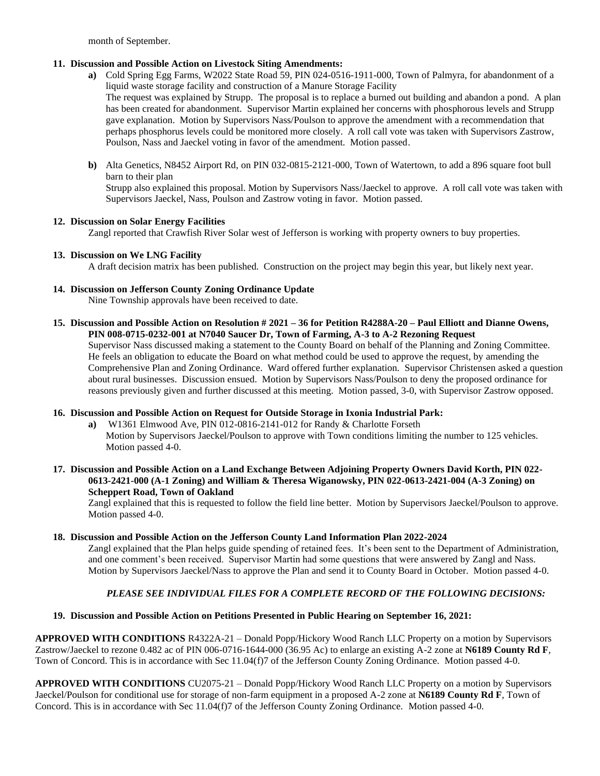month of September.

## **11. Discussion and Possible Action on Livestock Siting Amendments:**

**a)** Cold Spring Egg Farms, W2022 State Road 59, PIN 024-0516-1911-000, Town of Palmyra, for abandonment of a liquid waste storage facility and construction of a Manure Storage Facility

The request was explained by Strupp. The proposal is to replace a burned out building and abandon a pond. A plan has been created for abandonment. Supervisor Martin explained her concerns with phosphorous levels and Strupp gave explanation. Motion by Supervisors Nass/Poulson to approve the amendment with a recommendation that perhaps phosphorus levels could be monitored more closely. A roll call vote was taken with Supervisors Zastrow, Poulson, Nass and Jaeckel voting in favor of the amendment. Motion passed.

**b)** Alta Genetics, N8452 Airport Rd, on PIN 032-0815-2121-000, Town of Watertown, to add a 896 square foot bull barn to their plan Strupp also explained this proposal. Motion by Supervisors Nass/Jaeckel to approve. A roll call vote was taken with Supervisors Jaeckel, Nass, Poulson and Zastrow voting in favor. Motion passed.

## **12. Discussion on Solar Energy Facilities**

Zangl reported that Crawfish River Solar west of Jefferson is working with property owners to buy properties.

## **13. Discussion on We LNG Facility**

A draft decision matrix has been published. Construction on the project may begin this year, but likely next year.

## **14. Discussion on Jefferson County Zoning Ordinance Update**

Nine Township approvals have been received to date.

**15. Discussion and Possible Action on Resolution # 2021 – 36 for Petition R4288A-20 – Paul Elliott and Dianne Owens, PIN 008-0715-0232-001 at N7040 Saucer Dr, Town of Farming, A-3 to A-2 Rezoning Request**

Supervisor Nass discussed making a statement to the County Board on behalf of the Planning and Zoning Committee. He feels an obligation to educate the Board on what method could be used to approve the request, by amending the Comprehensive Plan and Zoning Ordinance. Ward offered further explanation. Supervisor Christensen asked a question about rural businesses. Discussion ensued. Motion by Supervisors Nass/Poulson to deny the proposed ordinance for reasons previously given and further discussed at this meeting. Motion passed, 3-0, with Supervisor Zastrow opposed.

## **16. Discussion and Possible Action on Request for Outside Storage in Ixonia Industrial Park:**

- **a)** W1361 Elmwood Ave, PIN 012-0816-2141-012 for Randy & Charlotte Forseth Motion by Supervisors Jaeckel/Poulson to approve with Town conditions limiting the number to 125 vehicles. Motion passed 4-0.
- **17. Discussion and Possible Action on a Land Exchange Between Adjoining Property Owners David Korth, PIN 022- 0613-2421-000 (A-1 Zoning) and William & Theresa Wiganowsky, PIN 022-0613-2421-004 (A-3 Zoning) on Scheppert Road, Town of Oakland**

Zangl explained that this is requested to follow the field line better. Motion by Supervisors Jaeckel/Poulson to approve. Motion passed 4-0.

## **18. Discussion and Possible Action on the Jefferson County Land Information Plan 2022-2024**

Zangl explained that the Plan helps guide spending of retained fees. It's been sent to the Department of Administration, and one comment's been received. Supervisor Martin had some questions that were answered by Zangl and Nass. Motion by Supervisors Jaeckel/Nass to approve the Plan and send it to County Board in October. Motion passed 4-0.

# *PLEASE SEE INDIVIDUAL FILES FOR A COMPLETE RECORD OF THE FOLLOWING DECISIONS:*

# **19. Discussion and Possible Action on Petitions Presented in Public Hearing on September 16, 2021:**

**APPROVED WITH CONDITIONS** R4322A-21 – Donald Popp/Hickory Wood Ranch LLC Property on a motion by Supervisors Zastrow/Jaeckel to rezone 0.482 ac of PIN 006-0716-1644-000 (36.95 Ac) to enlarge an existing A-2 zone at **N6189 County Rd F**, Town of Concord. This is in accordance with Sec 11.04(f)7 of the Jefferson County Zoning Ordinance. Motion passed 4-0.

**APPROVED WITH CONDITIONS** CU2075-21 – Donald Popp/Hickory Wood Ranch LLC Property on a motion by Supervisors Jaeckel/Poulson for conditional use for storage of non-farm equipment in a proposed A-2 zone at **N6189 County Rd F**, Town of Concord. This is in accordance with Sec 11.04(f)7 of the Jefferson County Zoning Ordinance. Motion passed 4-0.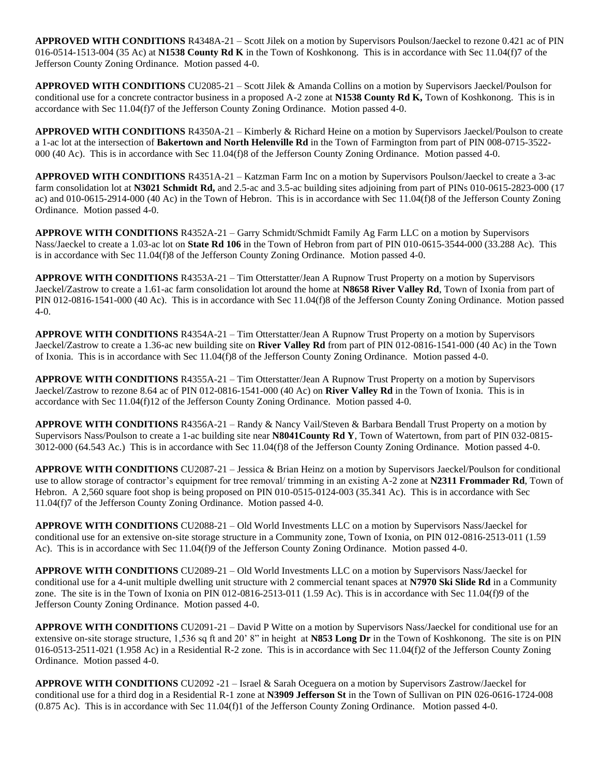**APPROVED WITH CONDITIONS** R4348A-21 – Scott Jilek on a motion by Supervisors Poulson/Jaeckel to rezone 0.421 ac of PIN 016-0514-1513-004 (35 Ac) at **N1538 County Rd K** in the Town of Koshkonong. This is in accordance with Sec 11.04(f)7 of the Jefferson County Zoning Ordinance. Motion passed 4-0.

**APPROVED WITH CONDITIONS** CU2085-21 – Scott Jilek & Amanda Collins on a motion by Supervisors Jaeckel/Poulson for conditional use for a concrete contractor business in a proposed A-2 zone at **N1538 County Rd K,** Town of Koshkonong. This is in accordance with Sec 11.04(f)7 of the Jefferson County Zoning Ordinance. Motion passed 4-0.

**APPROVED WITH CONDITIONS** R4350A-21 – Kimberly & Richard Heine on a motion by Supervisors Jaeckel/Poulson to create a 1-ac lot at the intersection of **Bakertown and North Helenville Rd** in the Town of Farmington from part of PIN 008-0715-3522- 000 (40 Ac). This is in accordance with Sec 11.04(f)8 of the Jefferson County Zoning Ordinance. Motion passed 4-0.

**APPROVED WITH CONDITIONS** R4351A-21 – Katzman Farm Inc on a motion by Supervisors Poulson/Jaeckel to create a 3-ac farm consolidation lot at **N3021 Schmidt Rd,** and 2.5-ac and 3.5-ac building sites adjoining from part of PINs 010-0615-2823-000 (17 ac) and 010-0615-2914-000 (40 Ac) in the Town of Hebron. This is in accordance with Sec 11.04(f)8 of the Jefferson County Zoning Ordinance. Motion passed 4-0.

**APPROVE WITH CONDITIONS** R4352A-21 – Garry Schmidt/Schmidt Family Ag Farm LLC on a motion by Supervisors Nass/Jaeckel to create a 1.03-ac lot on **State Rd 106** in the Town of Hebron from part of PIN 010-0615-3544-000 (33.288 Ac). This is in accordance with Sec 11.04(f)8 of the Jefferson County Zoning Ordinance. Motion passed 4-0.

**APPROVE WITH CONDITIONS** R4353A-21 – Tim Otterstatter/Jean A Rupnow Trust Property on a motion by Supervisors Jaeckel/Zastrow to create a 1.61-ac farm consolidation lot around the home at **N8658 River Valley Rd**, Town of Ixonia from part of PIN 012-0816-1541-000 (40 Ac). This is in accordance with Sec 11.04(f)8 of the Jefferson County Zoning Ordinance. Motion passed 4-0.

**APPROVE WITH CONDITIONS** R4354A-21 – Tim Otterstatter/Jean A Rupnow Trust Property on a motion by Supervisors Jaeckel/Zastrow to create a 1.36-ac new building site on **River Valley Rd** from part of PIN 012-0816-1541-000 (40 Ac) in the Town of Ixonia. This is in accordance with Sec 11.04(f)8 of the Jefferson County Zoning Ordinance. Motion passed 4-0.

**APPROVE WITH CONDITIONS** R4355A-21 – Tim Otterstatter/Jean A Rupnow Trust Property on a motion by Supervisors Jaeckel/Zastrow to rezone 8.64 ac of PIN 012-0816-1541-000 (40 Ac) on **River Valley Rd** in the Town of Ixonia. This is in accordance with Sec 11.04(f)12 of the Jefferson County Zoning Ordinance. Motion passed 4-0.

**APPROVE WITH CONDITIONS** R4356A-21 – Randy & Nancy Vail/Steven & Barbara Bendall Trust Property on a motion by Supervisors Nass/Poulson to create a 1-ac building site near **N8041County Rd Y**, Town of Watertown, from part of PIN 032-0815- 3012-000 (64.543 Ac.) This is in accordance with Sec 11.04(f)8 of the Jefferson County Zoning Ordinance. Motion passed 4-0.

**APPROVE WITH CONDITIONS** CU2087-21 – Jessica & Brian Heinz on a motion by Supervisors Jaeckel/Poulson for conditional use to allow storage of contractor's equipment for tree removal/ trimming in an existing A-2 zone at **N2311 Frommader Rd**, Town of Hebron. A 2,560 square foot shop is being proposed on PIN 010-0515-0124-003 (35.341 Ac). This is in accordance with Sec 11.04(f)7 of the Jefferson County Zoning Ordinance. Motion passed 4-0.

**APPROVE WITH CONDITIONS** CU2088-21 – Old World Investments LLC on a motion by Supervisors Nass/Jaeckel for conditional use for an extensive on-site storage structure in a Community zone, Town of Ixonia, on PIN 012-0816-2513-011 (1.59 Ac). This is in accordance with Sec 11.04(f)9 of the Jefferson County Zoning Ordinance. Motion passed 4-0.

**APPROVE WITH CONDITIONS** CU2089-21 – Old World Investments LLC on a motion by Supervisors Nass/Jaeckel for conditional use for a 4-unit multiple dwelling unit structure with 2 commercial tenant spaces at **N7970 Ski Slide Rd** in a Community zone. The site is in the Town of Ixonia on PIN 012-0816-2513-011 (1.59 Ac). This is in accordance with Sec 11.04(f)9 of the Jefferson County Zoning Ordinance. Motion passed 4-0.

**APPROVE WITH CONDITIONS** CU2091-21 – David P Witte on a motion by Supervisors Nass/Jaeckel for conditional use for an extensive on-site storage structure, 1,536 sq ft and 20' 8" in height at **N853 Long Dr** in the Town of Koshkonong. The site is on PIN 016-0513-2511-021 (1.958 Ac) in a Residential R-2 zone. This is in accordance with Sec 11.04(f)2 of the Jefferson County Zoning Ordinance. Motion passed 4-0.

**APPROVE WITH CONDITIONS** CU2092 -21 – Israel & Sarah Oceguera on a motion by Supervisors Zastrow/Jaeckel for conditional use for a third dog in a Residential R-1 zone at **N3909 Jefferson St** in the Town of Sullivan on PIN 026-0616-1724-008 (0.875 Ac). This is in accordance with Sec 11.04(f)1 of the Jefferson County Zoning Ordinance. Motion passed 4-0.